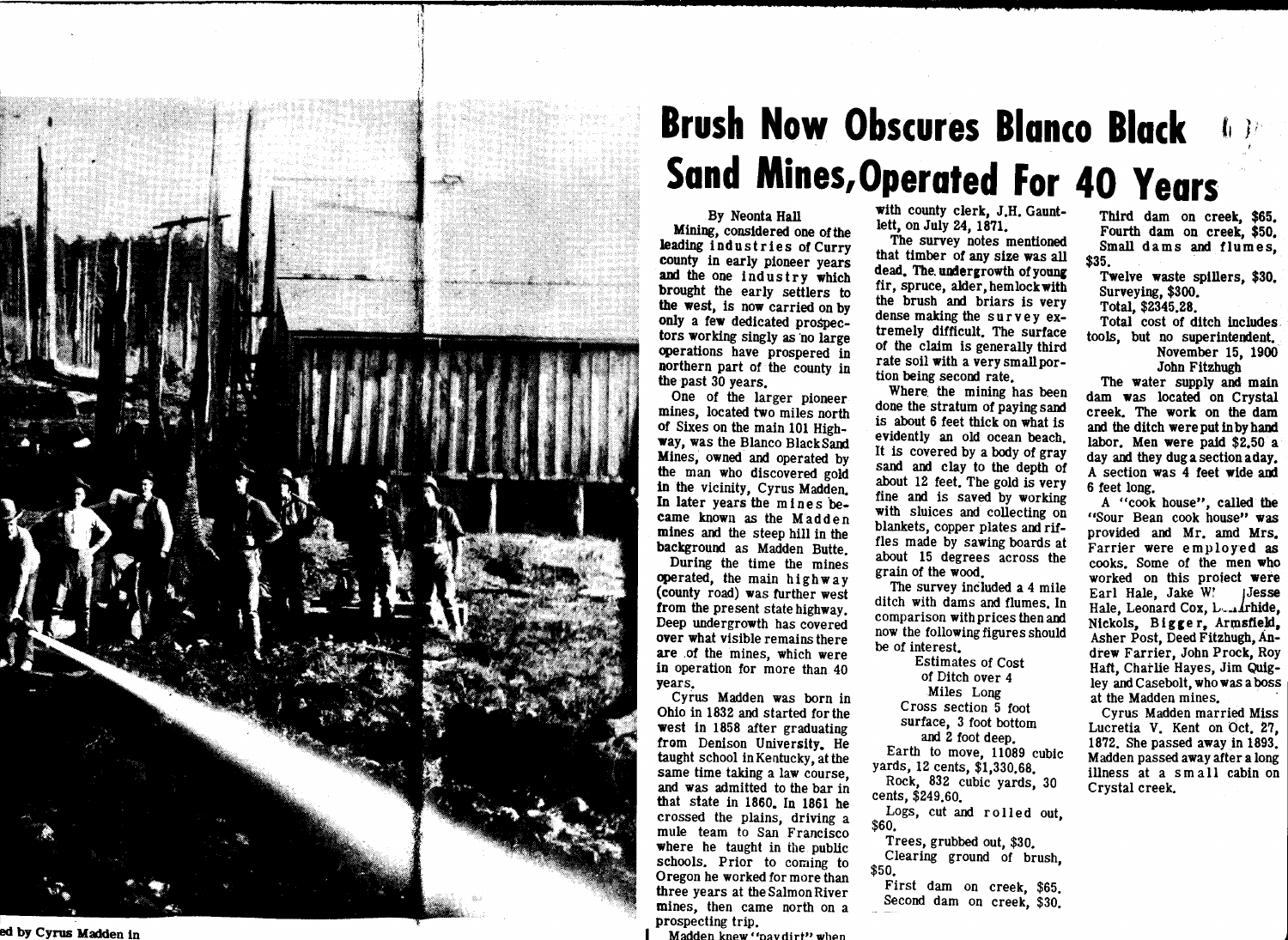

 $\mathcal{L}_{\mathcal{A}}$ 

## by Cyrus **Madden** in

## **Brush Now Obscures Blanco Black Sand Mines,Operated For 40 Years**

By Neonta Hall

Mining, considered one of the leading industries of Curry county in early pioneer years **and** the one ind us try **which**  brought the early settlers to **the west,** is now carried on by only a few dedicated prospectors working singly as no large operations have prospered in northern part of the county in the past 30 years.

One of the larger pioneer mines, located two miles north of Sixes on the main 101 High**way,** was the Blanco BlackSand Mines, owned and operated by the man who discovered gold in the vicinity, Cyrus Madden. In later years the mines became known as the Madden mines and the steep hill in the background as Madden Butte.

During the time the mines operated, the main highway (county road) was further west from the present state highway. Deep undergrowth has covered over what visible remains there are .of the mines, which were in operation for more than 40 years.

Cyrus Madden was born in Ohio in 1832 and started for the **west** in 1858 after graduating from Denison University. He taught school in Kentucky, at the same time taking a law course, and was admitted to the bar in that state in 1860. In 1861 he crossed the plains, driving a mule team to San Francisco **where** he taught in the public schools. Prior to coming to Oregon he worked for more than three years at the Salmon River mines, then came north on a prospecting trip.

Madden knew "navdirt" when

with county clerk, J.H. Gauntlett, on July 24, 1871.

The survey notes mentioned that timber of any size was all dead. The undergrowth of young fir, spruce, alder, hemlock **with**  the brush and briars is very dense making the survey extremely difficult. The surface of the claim is generally third rate soil **with** a very smallportion being second rate.

Where. the mining has been done the stratum of paying sand is about 6 feet thick on what is evidently an old ocean beach. It is covered by a body of gray sand and clay to the depth of about 12 feet. The gold is very fine and is saved by working **with** sluices and collecting on blankets, copper plates and riffles made by sawing boards at about 15 degrees across the grain of the **wood.** 

The survey included a 4 mile ditch with dams and flumes. In comparison **with** prices then **and**  now the following figures should be of interest.

Estimates of Cost of Ditch over 4 Miles Long Cross section 5 foot surface, 3 foot bottom and 2 foot deep. Earth to move, 11089 cubic yards, 12 cents, \$1,330.68. Rock, 832 cubic yards, 30

cents, \$249.60.

Logs, cut and rolled out, \$60.

Trees, grubbed out, \$30. Clearing ground of brush,

\$50. First dam on creek, \$65. Second dam on creek, \$30.

Third dam on creek, **\$65.**  Fourth dam on creek, \$50. Small dams and flumes, \$35.

**Twelve waste** spillers, \$30. Surveying, \$300.

Total, \$2345.28.

Total cost of ditch includes. tools, but no superintendent. November 15, 1900

John Fitzhugh

The water supply and main dam was located on Crystal creek. The work on the dam and the ditch were put in by hand labor. Men were paid \$2.50 a day and they dugasectionaday. A section was 4 feet **wide and**  6 feet long.

A "cook. house", called the "Sour Bean cook house" was provided and Mr. amd Mrs. Farrier were employed as cooks. Some of the men who worked on this proiect were Earl Hale, Jake W! jJesse Hale, Leonard Cox, L<sub>and</sub>rhide, Nickols, Bigger, Armsfield, Asher Post, Deed Fitzhugh, Andrew Farrier, John Prock, Roy Haft, Charlie Hayes, Jim Quigley and Casebolt, who was a boss at the Madden mines.

Cyrus Madden married Miss Lucretia V. Kent on Oct. 27, 1872. She passed away in 1893. Madden passed away after a long illness at a small cabin on Crystal creek.